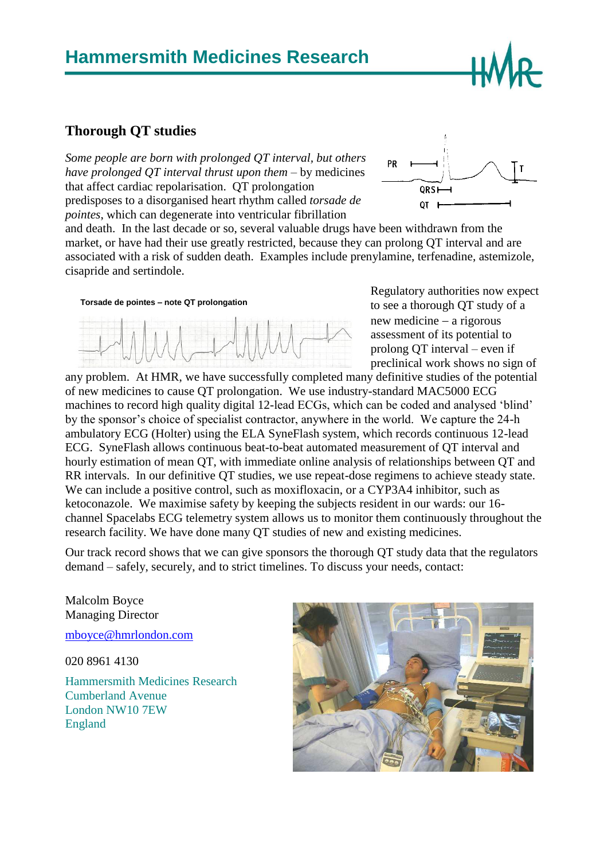## **Hammersmith Medicines Research**

## **Thorough QT studies**

*Some people are born with prolonged QT interval, but others have prolonged QT interval thrust upon them* – by medicines that affect cardiac repolarisation. QT prolongation predisposes to a disorganised heart rhythm called *torsade de pointes*, which can degenerate into ventricular fibrillation



and death. In the last decade or so, several valuable drugs have been withdrawn from the market, or have had their use greatly restricted, because they can prolong QT interval and are associated with a risk of sudden death. Examples include prenylamine, terfenadine, astemizole, cisapride and sertindole.





Regulatory authorities now expect to see a thorough QT study of a new medicine  $-$  a rigorous assessment of its potential to prolong QT interval – even if preclinical work shows no sign of

any problem. At HMR, we have successfully completed many definitive studies of the potential of new medicines to cause QT prolongation. We use industry-standard MAC5000 ECG machines to record high quality digital 12-lead ECGs, which can be coded and analysed 'blind' by the sponsor's choice of specialist contractor, anywhere in the world. We capture the 24-h ambulatory ECG (Holter) using the ELA SyneFlash system, which records continuous 12-lead ECG. SyneFlash allows continuous beat-to-beat automated measurement of QT interval and hourly estimation of mean QT, with immediate online analysis of relationships between QT and RR intervals. In our definitive QT studies, we use repeat-dose regimens to achieve steady state. We can include a positive control, such as moxifloxacin, or a CYP3A4 inhibitor, such as ketoconazole. We maximise safety by keeping the subjects resident in our wards: our 16 channel Spacelabs ECG telemetry system allows us to monitor them continuously throughout the research facility. We have done many QT studies of new and existing medicines.

Our track record shows that we can give sponsors the thorough QT study data that the regulators demand – safely, securely, and to strict timelines. To discuss your needs, contact:

Malcolm Boyce Managing Director

[mboyce@hmrlondon.com](mailto:mboyce@hmrlondon.com)

020 8961 4130

Hammersmith Medicines Research Cumberland Avenue London NW10 7EW England